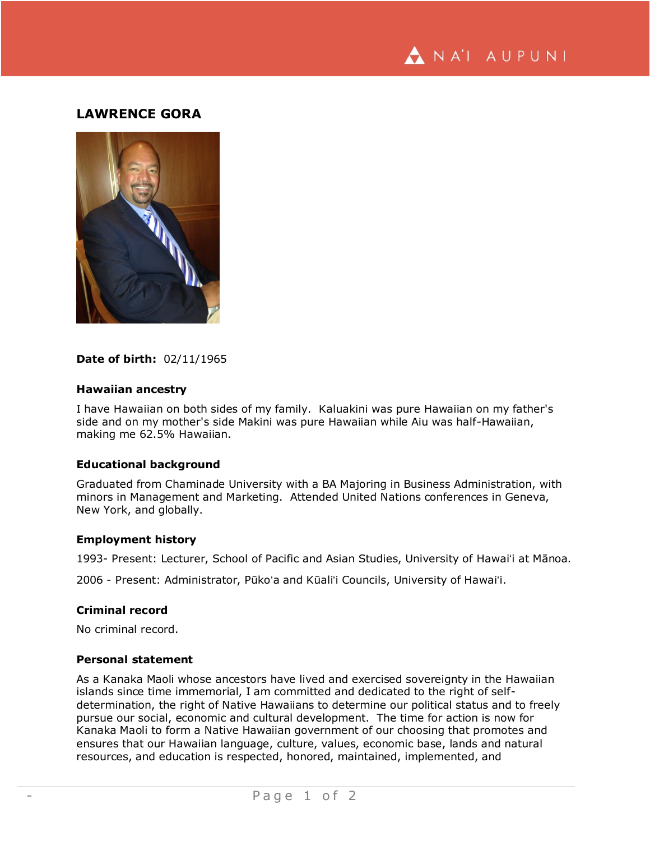

# **LAWRENCE GORA**



## **Date of birth:** 02/11/1965

## **Hawaiian ancestry**

I have Hawaiian on both sides of my family. Kaluakini was pure Hawaiian on my father's side and on my mother's side Makini was pure Hawaiian while Aiu was half-Hawaiian, making me 62.5% Hawaiian.

## **Educational background**

Graduated from Chaminade University with a BA Majoring in Business Administration, with minors in Management and Marketing. Attended United Nations conferences in Geneva, New York, and globally.

#### **Employment history**

1993- Present: Lecturer, School of Pacific and Asian Studies, University of Hawaiʻi at Mānoa.

2006 - Present: Administrator, Pūkoʻa and Kūaliʻi Councils, University of Hawaiʻi.

## **Criminal record**

No criminal record.

## **Personal statement**

As a Kanaka Maoli whose ancestors have lived and exercised sovereignty in the Hawaiian islands since time immemorial, I am committed and dedicated to the right of selfdetermination, the right of Native Hawaiians to determine our political status and to freely pursue our social, economic and cultural development. The time for action is now for Kanaka Maoli to form a Native Hawaiian government of our choosing that promotes and ensures that our Hawaiian language, culture, values, economic base, lands and natural resources, and education is respected, honored, maintained, implemented, and